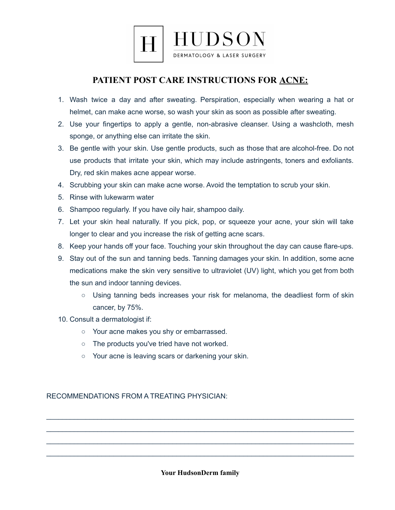

## **PATIENT POST CARE INSTRUCTIONS FOR ACNE:**

- 1. Wash twice a day and after sweating. Perspiration, especially when wearing a hat or helmet, can make acne worse, so wash your skin as soon as possible after sweating.
- 2. Use your fingertips to apply a gentle, non-abrasive cleanser. Using a washcloth, mesh sponge, or anything else can irritate the skin.
- 3. Be gentle with your skin. Use gentle products, such as those that are alcohol-free. Do not use products that irritate your skin, which may include astringents, toners and exfoliants. Dry, red skin makes acne appear worse.
- 4. Scrubbing your skin can make acne worse. Avoid the temptation to scrub your skin.
- 5. Rinse with lukewarm water
- 6. Shampoo regularly. If you have oily hair, shampoo daily.
- 7. Let your skin heal naturally. If you pick, pop, or squeeze your acne, your skin will take longer to clear and you increase the risk of getting acne scars.
- 8. Keep your hands off your face. Touching your skin throughout the day can cause flare-ups.
- 9. Stay out of the sun and tanning beds. Tanning damages your skin. In addition, some acne medications make the skin very sensitive to ultraviolet (UV) light, which you get from both the sun and indoor tanning devices.
	- Using tanning beds increases your risk for melanoma, the deadliest form of skin cancer, by 75%.
- 10. Consult a dermatologist if:
	- Your acne makes you shy or embarrassed.
	- The products you've tried have not worked.
	- Your acne is leaving scars or darkening your skin.

RECOMMENDATIONS FROM A TREATING PHYSICIAN:

**Your HudsonDerm family**

\_\_\_\_\_\_\_\_\_\_\_\_\_\_\_\_\_\_\_\_\_\_\_\_\_\_\_\_\_\_\_\_\_\_\_\_\_\_\_\_\_\_\_\_\_\_\_\_\_\_\_\_\_\_\_\_\_\_\_\_\_\_\_\_\_\_\_\_\_\_\_\_\_\_\_\_\_\_ \_\_\_\_\_\_\_\_\_\_\_\_\_\_\_\_\_\_\_\_\_\_\_\_\_\_\_\_\_\_\_\_\_\_\_\_\_\_\_\_\_\_\_\_\_\_\_\_\_\_\_\_\_\_\_\_\_\_\_\_\_\_\_\_\_\_\_\_\_\_\_\_\_\_\_\_\_\_ \_\_\_\_\_\_\_\_\_\_\_\_\_\_\_\_\_\_\_\_\_\_\_\_\_\_\_\_\_\_\_\_\_\_\_\_\_\_\_\_\_\_\_\_\_\_\_\_\_\_\_\_\_\_\_\_\_\_\_\_\_\_\_\_\_\_\_\_\_\_\_\_\_\_\_\_\_\_ \_\_\_\_\_\_\_\_\_\_\_\_\_\_\_\_\_\_\_\_\_\_\_\_\_\_\_\_\_\_\_\_\_\_\_\_\_\_\_\_\_\_\_\_\_\_\_\_\_\_\_\_\_\_\_\_\_\_\_\_\_\_\_\_\_\_\_\_\_\_\_\_\_\_\_\_\_\_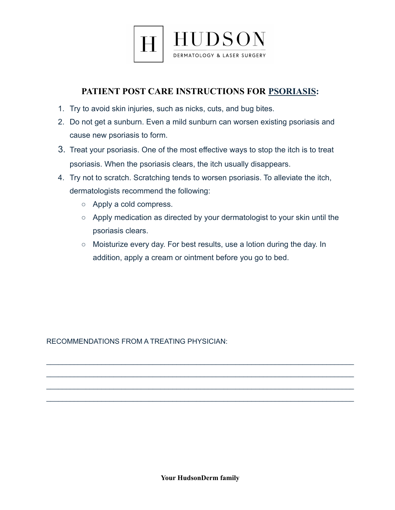

## **PATIENT POST CARE INSTRUCTIONS FOR PSORIASIS:**

- 1. Try to avoid skin injuries, such as nicks, cuts, and bug bites.
- 2. Do not get a sunburn. Even a mild sunburn can worsen existing psoriasis and cause new psoriasis to form.
- 3. Treat your psoriasis. One of the most effective ways to stop the itch is to treat psoriasis. When the psoriasis clears, the itch usually disappears.
- 4. Try not to scratch. Scratching tends to worsen psoriasis. To alleviate the itch, dermatologists recommend the following:
	- Apply a cold compress.
	- Apply medication as directed by your dermatologist to your skin until the psoriasis clears.
	- Moisturize every day. For best results, use a lotion during the day. In addition, apply a cream or ointment before you go to bed.

RECOMMENDATIONS FROM A TREATING PHYSICIAN:

\_\_\_\_\_\_\_\_\_\_\_\_\_\_\_\_\_\_\_\_\_\_\_\_\_\_\_\_\_\_\_\_\_\_\_\_\_\_\_\_\_\_\_\_\_\_\_\_\_\_\_\_\_\_\_\_\_\_\_\_\_\_\_\_\_\_\_\_\_\_\_\_\_\_\_\_\_\_

\_\_\_\_\_\_\_\_\_\_\_\_\_\_\_\_\_\_\_\_\_\_\_\_\_\_\_\_\_\_\_\_\_\_\_\_\_\_\_\_\_\_\_\_\_\_\_\_\_\_\_\_\_\_\_\_\_\_\_\_\_\_\_\_\_\_\_\_\_\_\_\_\_\_\_\_\_\_ \_\_\_\_\_\_\_\_\_\_\_\_\_\_\_\_\_\_\_\_\_\_\_\_\_\_\_\_\_\_\_\_\_\_\_\_\_\_\_\_\_\_\_\_\_\_\_\_\_\_\_\_\_\_\_\_\_\_\_\_\_\_\_\_\_\_\_\_\_\_\_\_\_\_\_\_\_\_